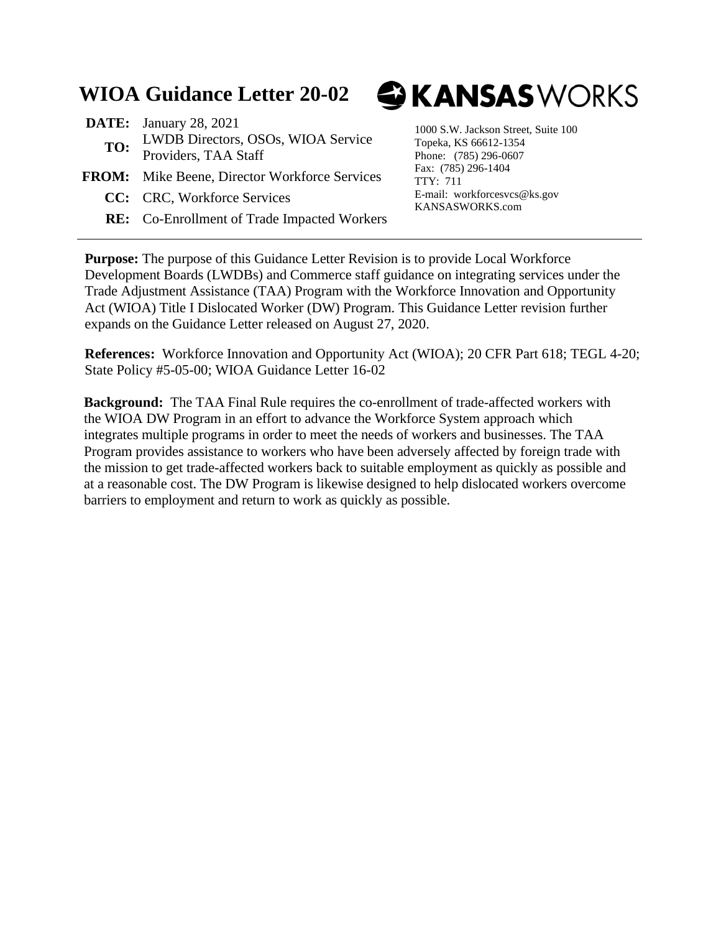# **WIOA Guidance Letter 20-02**

- **DATE:** January 28, 2021 **TO:** LWDB Directors, OSOs, WIOA Service Providers, TAA Staff
- **FROM:** Mike Beene, Director Workforce Services
	- **CC:** CRC, Workforce Services
	- **RE:** Co-Enrollment of Trade Impacted Workers

# **& KANSAS** WORKS

1000 S.W. Jackson Street, Suite 100 Topeka, KS 66612-1354 Phone: (785) 296-0607 Fax: (785) 296-1404 TTY: 711 E-mail: workforcesvcs@ks.gov KANSASWORKS.com

**Purpose:** The purpose of this Guidance Letter Revision is to provide Local Workforce Development Boards (LWDBs) and Commerce staff guidance on integrating services under the Trade Adjustment Assistance (TAA) Program with the Workforce Innovation and Opportunity Act (WIOA) Title I Dislocated Worker (DW) Program. This Guidance Letter revision further expands on the Guidance Letter released on August 27, 2020.

**References:** Workforce Innovation and Opportunity Act (WIOA); 20 CFR Part 618; TEGL 4-20; State Policy #5-05-00; WIOA Guidance Letter 16-02

**Background:** The TAA Final Rule requires the co-enrollment of trade-affected workers with the WIOA DW Program in an effort to advance the Workforce System approach which integrates multiple programs in order to meet the needs of workers and businesses. The TAA Program provides assistance to workers who have been adversely affected by foreign trade with the mission to get trade-affected workers back to suitable employment as quickly as possible and at a reasonable cost. The DW Program is likewise designed to help dislocated workers overcome barriers to employment and return to work as quickly as possible.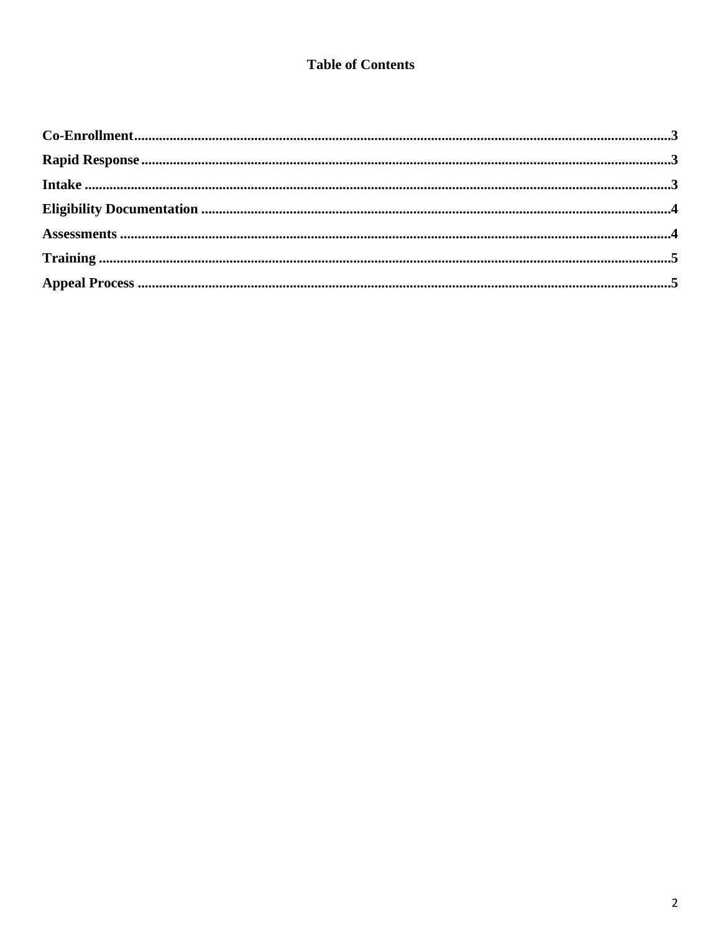#### **Table of Contents**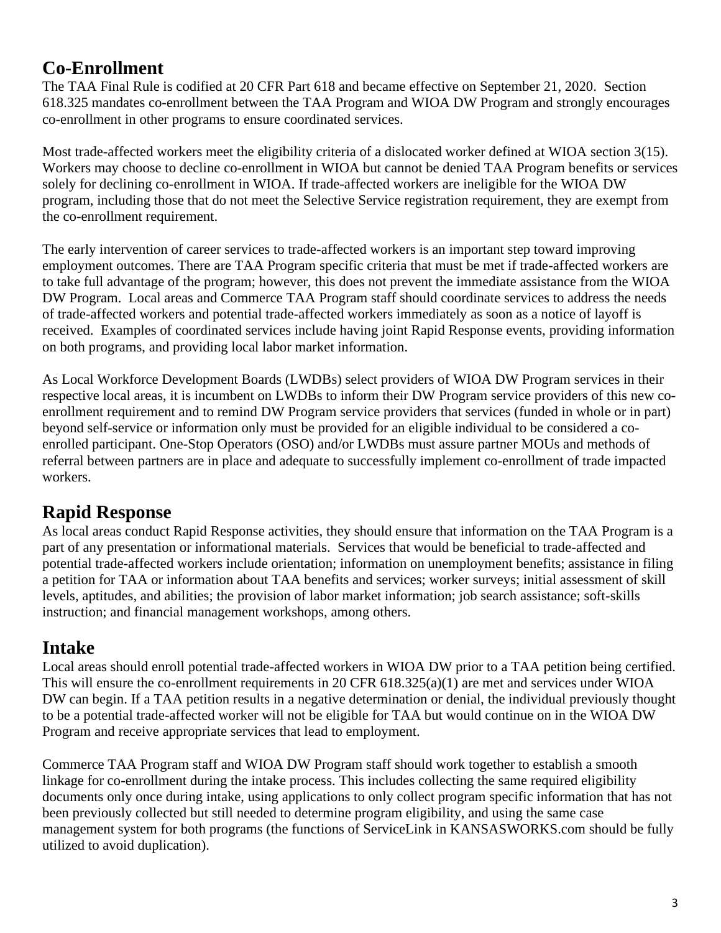#### **Co-Enrollment**

The TAA Final Rule is codified at 20 CFR Part 618 and became effective on September 21, 2020. Section 618.325 mandates co-enrollment between the TAA Program and WIOA DW Program and strongly encourages co-enrollment in other programs to ensure coordinated services.

Most trade-affected workers meet the eligibility criteria of a dislocated worker defined at WIOA section 3(15). Workers may choose to decline co-enrollment in WIOA but cannot be denied TAA Program benefits or services solely for declining co-enrollment in WIOA. If trade-affected workers are ineligible for the WIOA DW program, including those that do not meet the Selective Service registration requirement, they are exempt from the co-enrollment requirement.

The early intervention of career services to trade-affected workers is an important step toward improving employment outcomes. There are TAA Program specific criteria that must be met if trade-affected workers are to take full advantage of the program; however, this does not prevent the immediate assistance from the WIOA DW Program. Local areas and Commerce TAA Program staff should coordinate services to address the needs of trade-affected workers and potential trade-affected workers immediately as soon as a notice of layoff is received. Examples of coordinated services include having joint Rapid Response events, providing information on both programs, and providing local labor market information.

As Local Workforce Development Boards (LWDBs) select providers of WIOA DW Program services in their respective local areas, it is incumbent on LWDBs to inform their DW Program service providers of this new coenrollment requirement and to remind DW Program service providers that services (funded in whole or in part) beyond self-service or information only must be provided for an eligible individual to be considered a coenrolled participant. One-Stop Operators (OSO) and/or LWDBs must assure partner MOUs and methods of referral between partners are in place and adequate to successfully implement co-enrollment of trade impacted workers.

#### **Rapid Response**

As local areas conduct Rapid Response activities, they should ensure that information on the TAA Program is a part of any presentation or informational materials. Services that would be beneficial to trade-affected and potential trade-affected workers include orientation; information on unemployment benefits; assistance in filing a petition for TAA or information about TAA benefits and services; worker surveys; initial assessment of skill levels, aptitudes, and abilities; the provision of labor market information; job search assistance; soft-skills instruction; and financial management workshops, among others.

### **Intake**

Local areas should enroll potential trade-affected workers in WIOA DW prior to a TAA petition being certified. This will ensure the co-enrollment requirements in 20 CFR 618.325(a)(1) are met and services under WIOA DW can begin. If a TAA petition results in a negative determination or denial, the individual previously thought to be a potential trade-affected worker will not be eligible for TAA but would continue on in the WIOA DW Program and receive appropriate services that lead to employment.

Commerce TAA Program staff and WIOA DW Program staff should work together to establish a smooth linkage for co-enrollment during the intake process. This includes collecting the same required eligibility documents only once during intake, using applications to only collect program specific information that has not been previously collected but still needed to determine program eligibility, and using the same case management system for both programs (the functions of ServiceLink in KANSASWORKS.com should be fully utilized to avoid duplication).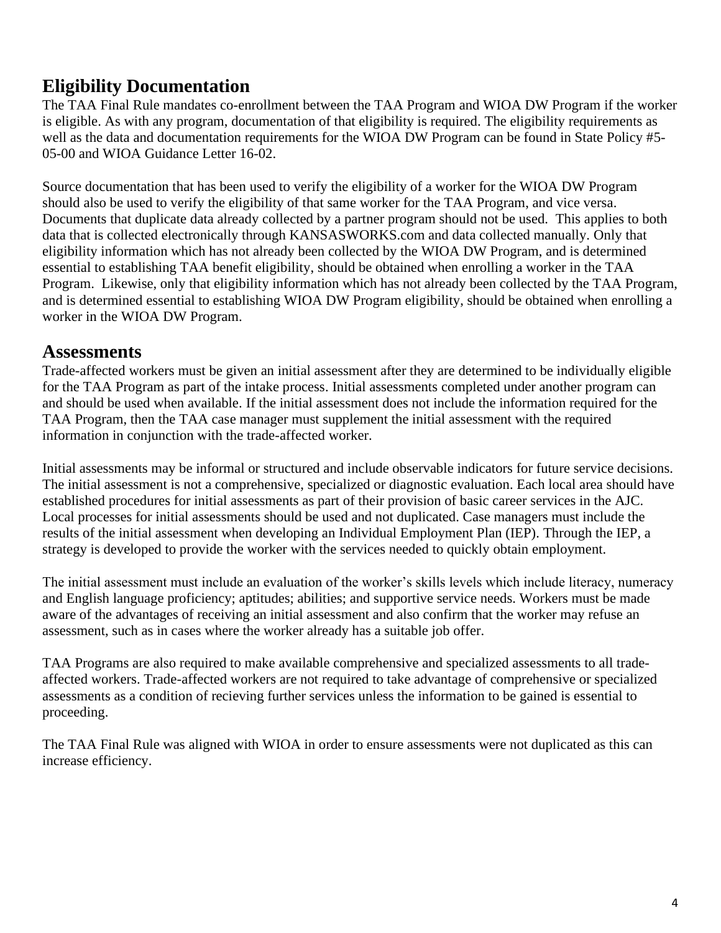## **Eligibility Documentation**

The TAA Final Rule mandates co-enrollment between the TAA Program and WIOA DW Program if the worker is eligible. As with any program, documentation of that eligibility is required. The eligibility requirements as well as the data and documentation requirements for the WIOA DW Program can be found in State Policy #5- 05-00 and WIOA Guidance Letter 16-02.

Source documentation that has been used to verify the eligibility of a worker for the WIOA DW Program should also be used to verify the eligibility of that same worker for the TAA Program, and vice versa. Documents that duplicate data already collected by a partner program should not be used. This applies to both data that is collected electronically through KANSASWORKS.com and data collected manually. Only that eligibility information which has not already been collected by the WIOA DW Program, and is determined essential to establishing TAA benefit eligibility, should be obtained when enrolling a worker in the TAA Program. Likewise, only that eligibility information which has not already been collected by the TAA Program, and is determined essential to establishing WIOA DW Program eligibility, should be obtained when enrolling a worker in the WIOA DW Program.

#### **Assessments**

Trade-affected workers must be given an initial assessment after they are determined to be individually eligible for the TAA Program as part of the intake process. Initial assessments completed under another program can and should be used when available. If the initial assessment does not include the information required for the TAA Program, then the TAA case manager must supplement the initial assessment with the required information in conjunction with the trade-affected worker.

Initial assessments may be informal or structured and include observable indicators for future service decisions. The initial assessment is not a comprehensive, specialized or diagnostic evaluation. Each local area should have established procedures for initial assessments as part of their provision of basic career services in the AJC. Local processes for initial assessments should be used and not duplicated. Case managers must include the results of the initial assessment when developing an Individual Employment Plan (IEP). Through the IEP, a strategy is developed to provide the worker with the services needed to quickly obtain employment.

The initial assessment must include an evaluation of the worker's skills levels which include literacy, numeracy and English language proficiency; aptitudes; abilities; and supportive service needs. Workers must be made aware of the advantages of receiving an initial assessment and also confirm that the worker may refuse an assessment, such as in cases where the worker already has a suitable job offer.

TAA Programs are also required to make available comprehensive and specialized assessments to all tradeaffected workers. Trade-affected workers are not required to take advantage of comprehensive or specialized assessments as a condition of recieving further services unless the information to be gained is essential to proceeding.

The TAA Final Rule was aligned with WIOA in order to ensure assessments were not duplicated as this can increase efficiency.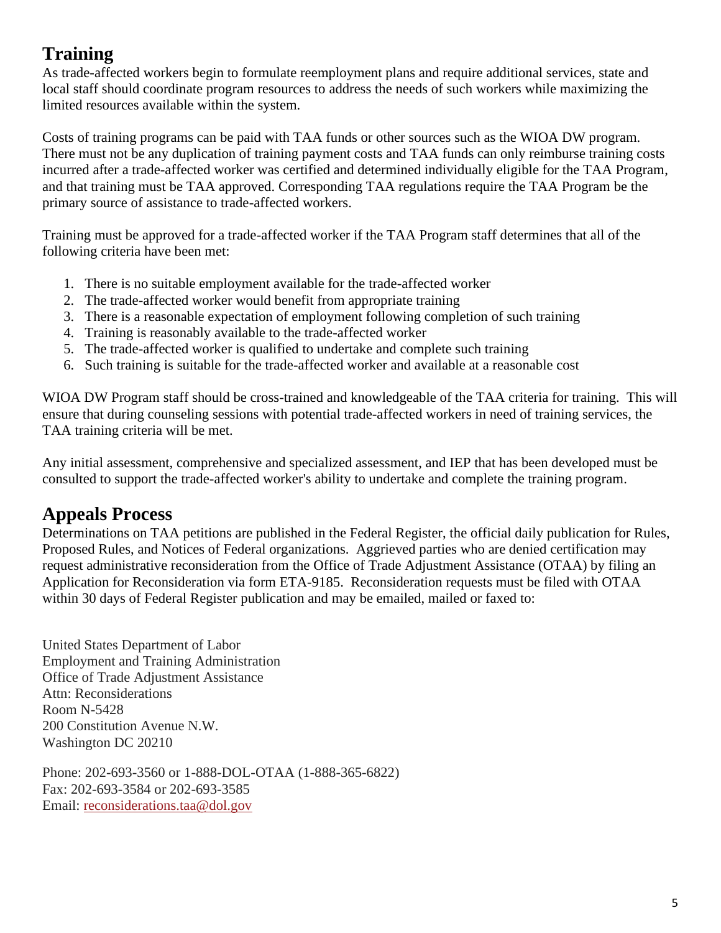## **Training**

As trade-affected workers begin to formulate reemployment plans and require additional services, state and local staff should coordinate program resources to address the needs of such workers while maximizing the limited resources available within the system.

Costs of training programs can be paid with TAA funds or other sources such as the WIOA DW program. There must not be any duplication of training payment costs and TAA funds can only reimburse training costs incurred after a trade-affected worker was certified and determined individually eligible for the TAA Program, and that training must be TAA approved. Corresponding TAA regulations require the TAA Program be the primary source of assistance to trade-affected workers.

Training must be approved for a trade-affected worker if the TAA Program staff determines that all of the following criteria have been met:

- 1. There is no suitable employment available for the trade-affected worker
- 2. The trade-affected worker would benefit from appropriate training
- 3. There is a reasonable expectation of employment following completion of such training
- 4. Training is reasonably available to the trade-affected worker
- 5. The trade-affected worker is qualified to undertake and complete such training
- 6. Such training is suitable for the trade-affected worker and available at a reasonable cost

WIOA DW Program staff should be cross-trained and knowledgeable of the TAA criteria for training. This will ensure that during counseling sessions with potential trade-affected workers in need of training services, the TAA training criteria will be met.

Any initial assessment, comprehensive and specialized assessment, and IEP that has been developed must be consulted to support the trade-affected worker's ability to undertake and complete the training program.

### **Appeals Process**

Determinations on TAA petitions are published in the Federal Register, the official daily publication for Rules, Proposed Rules, and Notices of Federal organizations. Aggrieved parties who are denied certification may request administrative reconsideration from the Office of Trade Adjustment Assistance (OTAA) by filing an Application for Reconsideration via form ETA-9185. Reconsideration requests must be filed with OTAA within 30 days of Federal Register publication and may be emailed, mailed or faxed to:

United States Department of Labor Employment and Training Administration Office of Trade Adjustment Assistance Attn: Reconsiderations Room N-5428 200 Constitution Avenue N.W. Washington DC 20210

Phone: 202-693-3560 or 1-888-DOL-OTAA (1-888-365-6822) Fax: 202-693-3584 or 202-693-3585 Email: [reconsiderations.taa@dol.gov](mailto:reconsiderations.taa@dol.gov)